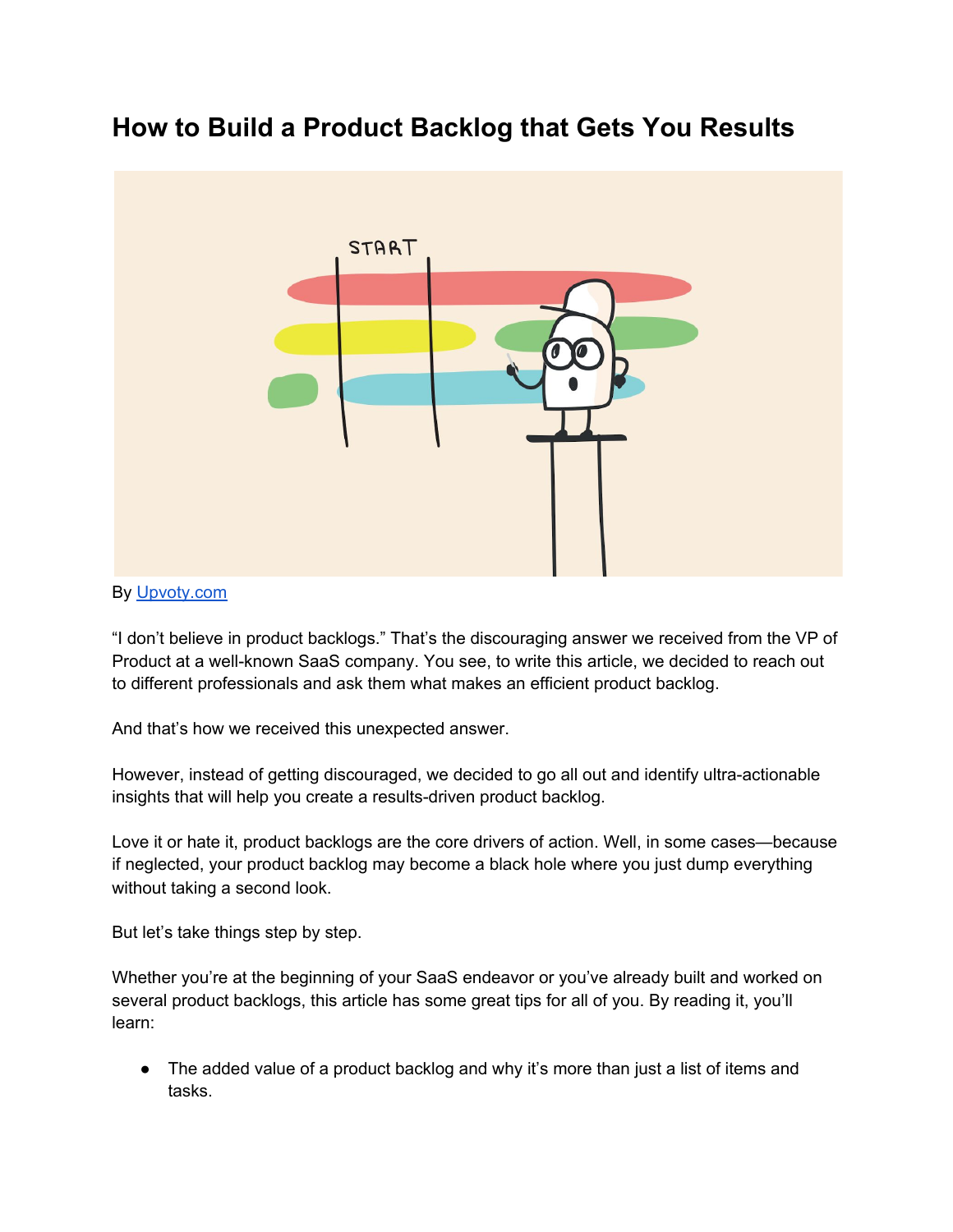# **How to Build a Product Backlog that Gets You Results**



#### By [Upvoty.com](https://upvoty.com/)

"I don't believe in product backlogs." That's the discouraging answer we received from the VP of Product at a well-known SaaS company. You see, to write this article, we decided to reach out to different professionals and ask them what makes an efficient product backlog.

And that's how we received this unexpected answer.

However, instead of getting discouraged, we decided to go all out and identify ultra-actionable insights that will help you create a results-driven product backlog.

Love it or hate it, product backlogs are the core drivers of action. Well, in some cases—because if neglected, your product backlog may become a black hole where you just dump everything without taking a second look.

But let's take things step by step.

Whether you're at the beginning of your SaaS endeavor or you've already built and worked on several product backlogs, this article has some great tips for all of you. By reading it, you'll learn:

• The added value of a product backlog and why it's more than just a list of items and tasks.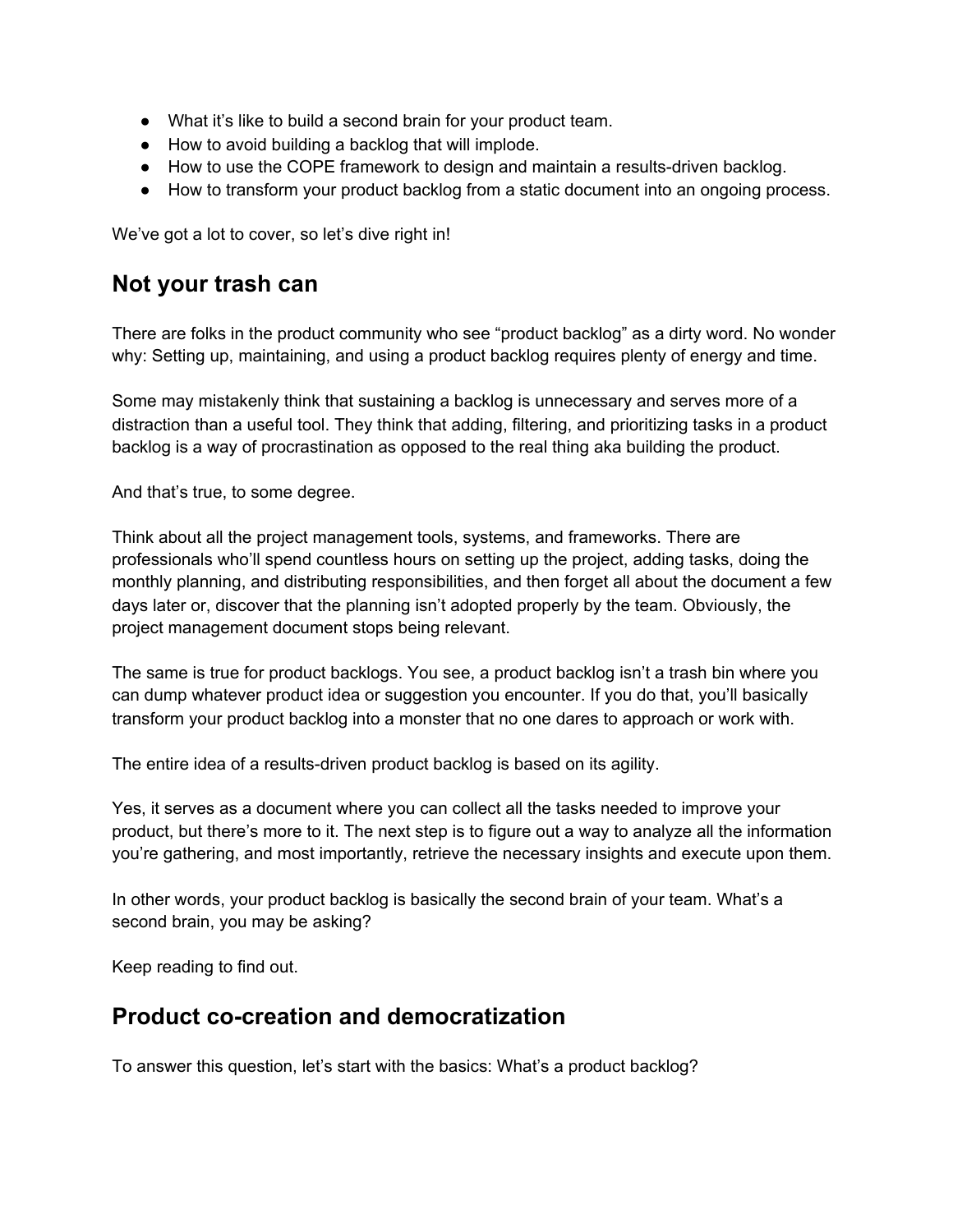- What it's like to build a second brain for your product team.
- How to avoid building a backlog that will implode.
- How to use the COPE framework to design and maintain a results-driven backlog.
- How to transform your product backlog from a static document into an ongoing process.

We've got a lot to cover, so let's dive right in!

#### **Not your trash can**

There are folks in the product community who see "product backlog" as a dirty word. No wonder why: Setting up, maintaining, and using a product backlog requires plenty of energy and time.

Some may mistakenly think that sustaining a backlog is unnecessary and serves more of a distraction than a useful tool. They think that adding, filtering, and prioritizing tasks in a product backlog is a way of procrastination as opposed to the real thing aka building the product.

And that's true, to some degree.

Think about all the project management tools, systems, and frameworks. There are professionals who'll spend countless hours on setting up the project, adding tasks, doing the monthly planning, and distributing responsibilities, and then forget all about the document a few days later or, discover that the planning isn't adopted properly by the team. Obviously, the project management document stops being relevant.

The same is true for product backlogs. You see, a product backlog isn't a trash bin where you can dump whatever product idea or suggestion you encounter. If you do that, you'll basically transform your product backlog into a monster that no one dares to approach or work with.

The entire idea of a results-driven product backlog is based on its agility.

Yes, it serves as a document where you can collect all the tasks needed to improve your product, but there's more to it. The next step is to figure out a way to analyze all the information you're gathering, and most importantly, retrieve the necessary insights and execute upon them.

In other words, your product backlog is basically the second brain of your team. What's a second brain, you may be asking?

Keep reading to find out.

#### **Product co-creation and democratization**

To answer this question, let's start with the basics: What's a product backlog?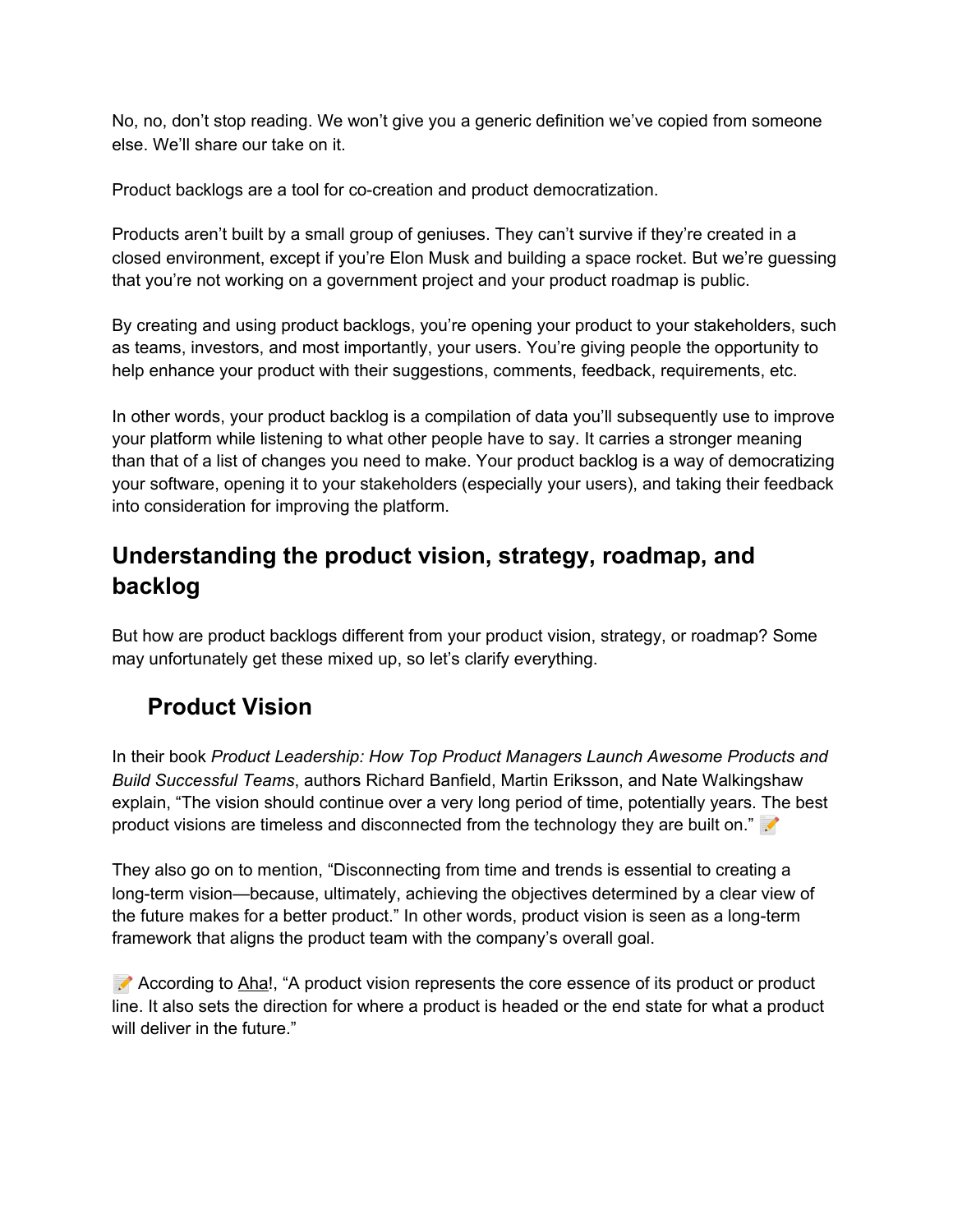No, no, don't stop reading. We won't give you a generic definition we've copied from someone else. We'll share our take on it.

Product backlogs are a tool for co-creation and product democratization.

Products aren't built by a small group of geniuses. They can't survive if they're created in a closed environment, except if you're Elon Musk and building a space rocket. But we're guessing that you're not working on a government project and your product roadmap is public.

By creating and using product backlogs, you're opening your product to your stakeholders, such as teams, investors, and most importantly, your users. You're giving people the opportunity to help enhance your product with their suggestions, comments, feedback, requirements, etc.

In other words, your product backlog is a compilation of data you'll subsequently use to improve your platform while listening to what other people have to say. It carries a stronger meaning than that of a list of changes you need to make. Your product backlog is a way of democratizing your software, opening it to your stakeholders (especially your users), and taking their feedback into consideration for improving the platform.

#### **Understanding the product vision, strategy, roadmap, and backlog**

But how are product backlogs different from your product vision, strategy, or roadmap? Some may unfortunately get these mixed up, so let's clarify everything.

# *<b>f* Product Vision

In their book *Product [Leadership:](https://www.amazon.com/Product-Leadership-Managers-Products-Successful/dp/1491960604) How Top Product Managers Launch Awesome Products and Build Successful Teams*, authors Richard Banfield, Martin Eriksson, and Nate Walkingshaw explain, "The vision should continue over a very long period of time, potentially years. The best product visions are timeless and disconnected from the technology they are built on."

They also go on to mention, "Disconnecting from time and trends is essential to creating a long-term vision—because, ultimately, achieving the objectives determined by a clear view of the future makes for a better product." In other words, product vision is seen as a long-term framework that aligns the product team with the company's overall goal.

 According to [Aha](https://www.aha.io/roadmapping/guide/product-strategy/what-is-product-vision)!, "A product vision represents the core essence of its product or product line. It also sets the direction for where a product is headed or the end state for what a product will deliver in the future."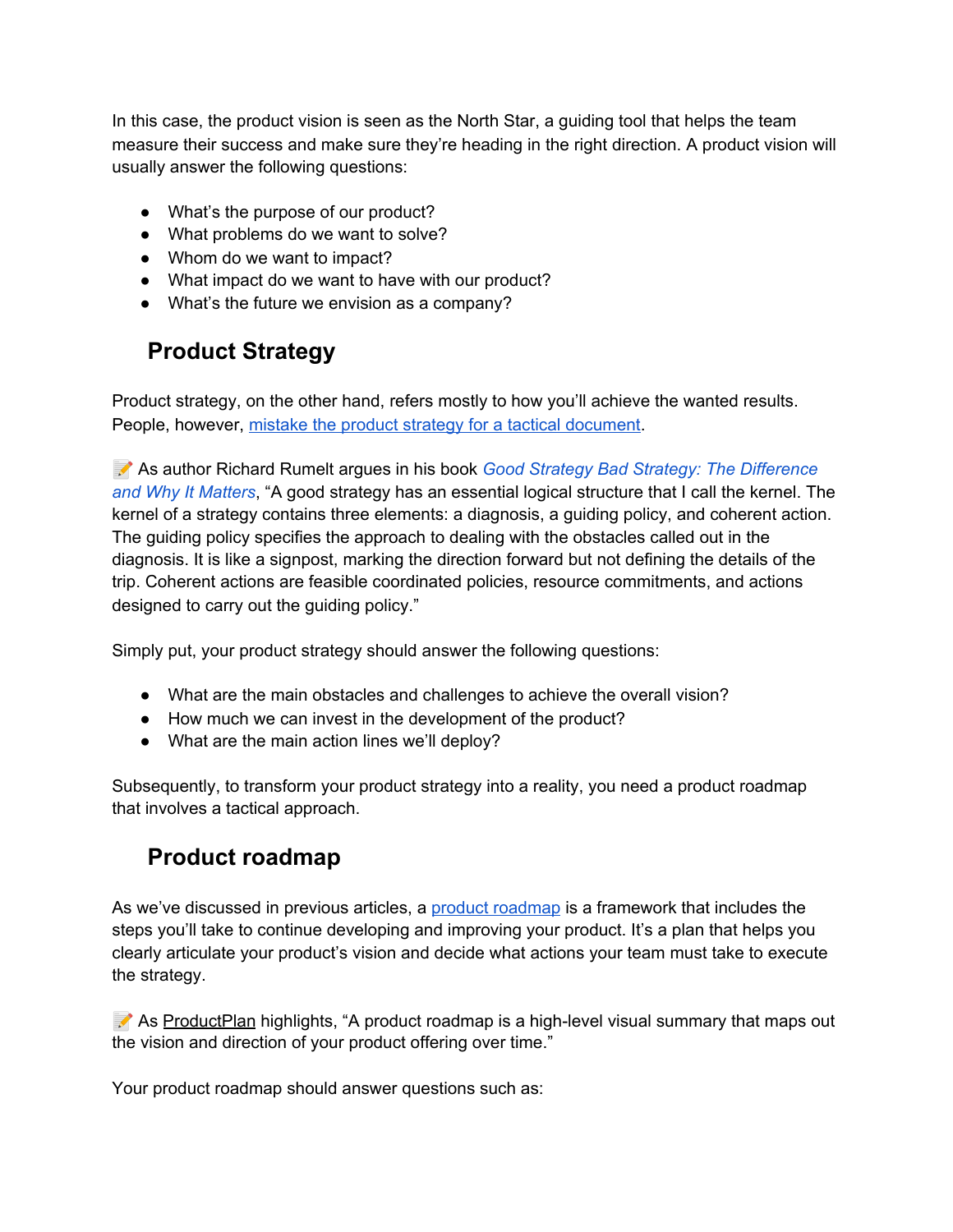In this case, the product vision is seen as the North Star, a guiding tool that helps the team measure their success and make sure they're heading in the right direction. A product vision will usually answer the following questions:

- What's the purpose of our product?
- What problems do we want to solve?
- Whom do we want to impact?
- What impact do we want to have with our product?
- What's the future we envision as a company?

# *<u>f</u>* Product Strategy

Product strategy, on the other hand, refers mostly to how you'll achieve the wanted results. People, however, mistake the product strategy for a tactical [document.](https://www.upvoty.com/how-to-create-a-strong-product-strategy/)

 As author Richard Rumelt argues in his book *Good Strategy Bad Strategy: The [Difference](https://www.amazon.com/Good-Strategy-Bad-Difference-Matters/dp/0307886239) and Why It [Matters](https://www.amazon.com/Good-Strategy-Bad-Difference-Matters/dp/0307886239)*, "A good strategy has an essential logical structure that I call the kernel. The kernel of a strategy contains three elements: a diagnosis, a guiding policy, and coherent action. The guiding policy specifies the approach to dealing with the obstacles called out in the diagnosis. It is like a signpost, marking the direction forward but not defining the details of the trip. Coherent actions are feasible coordinated policies, resource commitments, and actions designed to carry out the guiding policy."

Simply put, your product strategy should answer the following questions:

- What are the main obstacles and challenges to achieve the overall vision?
- How much we can invest in the development of the product?
- What are the main action lines we'll deploy?

Subsequently, to transform your product strategy into a reality, you need a product roadmap that involves a tactical approach.

#### *<u></u>* **Product roadmap**

As we've discussed in previous articles, a product [roadmap](https://www.upvoty.com/how-to-create-your-first-product-roadmap/) is a framework that includes the steps you'll take to continue developing and improving your product. It's a plan that helps you clearly articulate your product's vision and decide what actions your team must take to execute the strategy.

As [ProductPlan](https://www.productplan.com/what-is-a-product-roadmap/) highlights, "A product roadmap is a high-level visual summary that maps out the vision and direction of your product offering over time."

Your product roadmap should answer questions such as: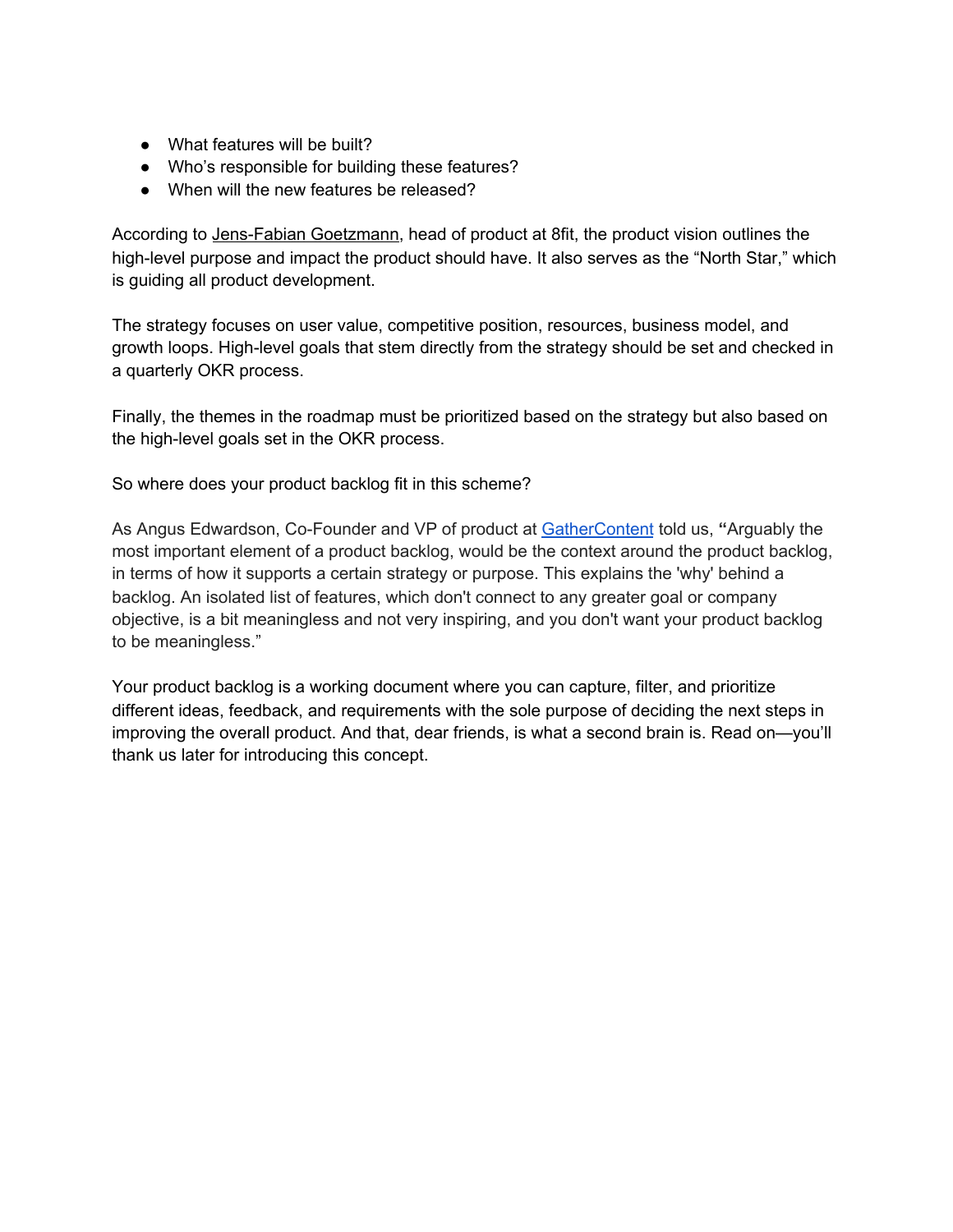- What features will be built?
- Who's responsible for building these features?
- When will the new features be released?

According to [Jens-Fabian](https://medium.com/@jefago/product-vision-strategy-roadmap-175d638fe93c) Goetzmann, head of product at 8fit, the product vision outlines the high-level purpose and impact the product should have. It also serves as the "North Star," which is guiding all product development.

The strategy focuses on user value, competitive position, resources, business model, and growth loops. High-level goals that stem directly from the strategy should be set and checked in a quarterly OKR process.

Finally, the themes in the roadmap must be prioritized based on the strategy but also based on the high-level goals set in the OKR process.

So where does your product backlog fit in this scheme?

As Angus Edwardson, Co-Founder and VP of product at [GatherContent](https://gathercontent.com/) told us, **"**Arguably the most important element of a product backlog, would be the context around the product backlog, in terms of how it supports a certain strategy or purpose. This explains the 'why' behind a backlog. An isolated list of features, which don't connect to any greater goal or company objective, is a bit meaningless and not very inspiring, and you don't want your product backlog to be meaningless."

Your product backlog is a working document where you can capture, filter, and prioritize different ideas, feedback, and requirements with the sole purpose of deciding the next steps in improving the overall product. And that, dear friends, is what a second brain is. Read on—you'll thank us later for introducing this concept.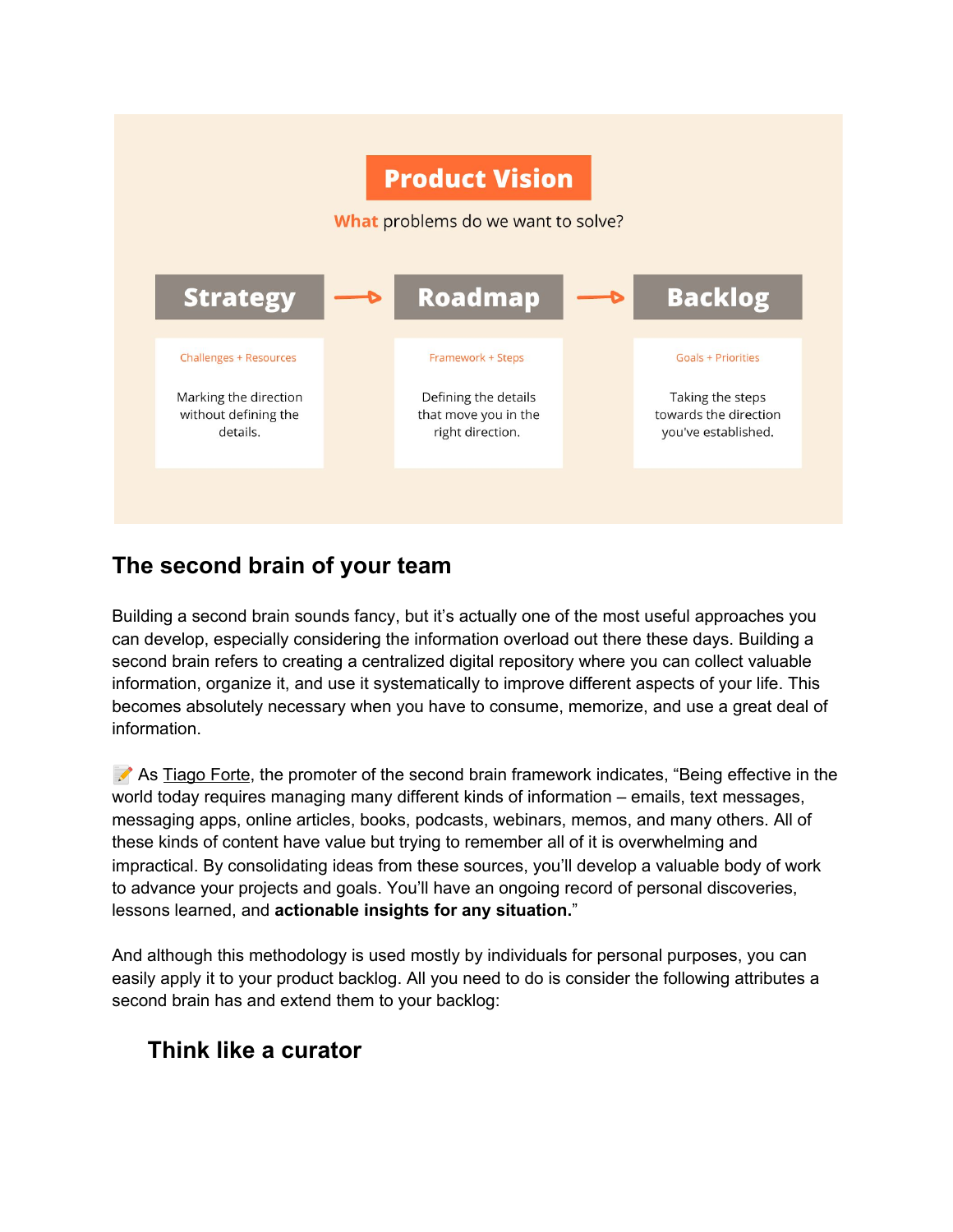

#### **The second brain of your team**

Building a second brain sounds fancy, but it's actually one of the most useful approaches you can develop, especially considering the information overload out there these days. Building a second brain refers to creating a centralized digital repository where you can collect valuable information, organize it, and use it systematically to improve different aspects of your life. This becomes absolutely necessary when you have to consume, memorize, and use a great deal of information.

As [Tiago](https://fortelabs.co/blog/basboverview/) Forte, the promoter of the second brain framework indicates, "Being effective in the world today requires managing many different kinds of information – emails, text messages, messaging apps, online articles, books, podcasts, webinars, memos, and many others. All of these kinds of content have value but trying to remember all of it is overwhelming and impractical. By consolidating ideas from these sources, you'll develop a valuable body of work to advance your projects and goals. You'll have an ongoing record of personal discoveries, lessons learned, and **actionable insights for any situation.**"

And although this methodology is used mostly by individuals for personal purposes, you can easily apply it to your product backlog. All you need to do is consider the following attributes a second brain has and extend them to your backlog:

# **Think like a curator**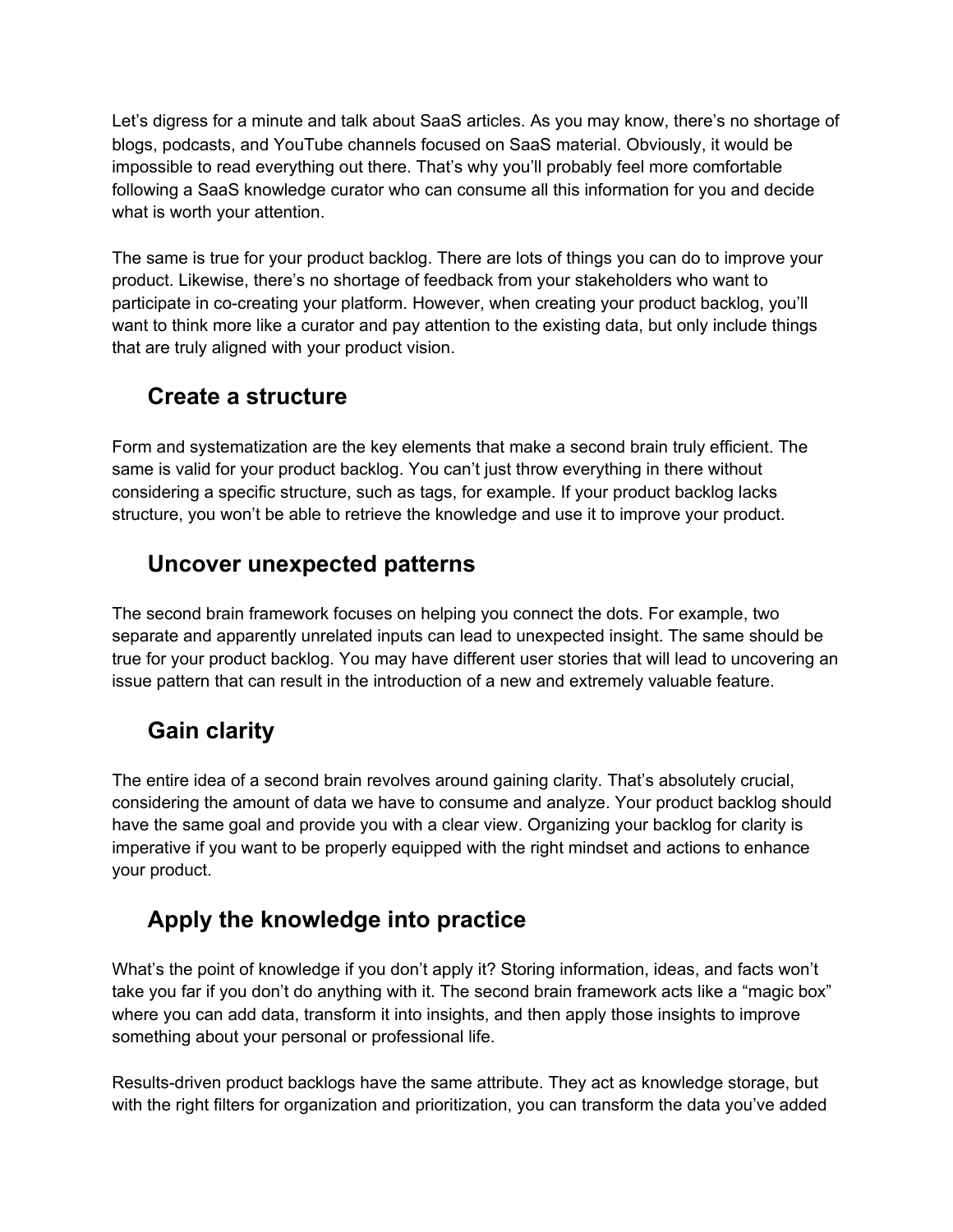Let's digress for a minute and talk about SaaS articles. As you may know, there's no shortage of blogs, podcasts, and YouTube channels focused on SaaS material. Obviously, it would be impossible to read everything out there. That's why you'll probably feel more comfortable following a SaaS knowledge curator who can consume all this information for you and decide what is worth your attention.

The same is true for your product backlog. There are lots of things you can do to improve your product. Likewise, there's no shortage of feedback from your stakeholders who want to participate in co-creating your platform. However, when creating your product backlog, you'll want to think more like a curator and pay attention to the existing data, but only include things that are truly aligned with your product vision.

# **Create a structure**

Form and systematization are the key elements that make a second brain truly efficient. The same is valid for your product backlog. You can't just throw everything in there without considering a specific structure, such as tags, for example. If your product backlog lacks structure, you won't be able to retrieve the knowledge and use it to improve your product.

# **Uncover unexpected patterns**

The second brain framework focuses on helping you connect the dots. For example, two separate and apparently unrelated inputs can lead to unexpected insight. The same should be true for your product backlog. You may have different user stories that will lead to uncovering an issue pattern that can result in the introduction of a new and extremely valuable feature.

# **Gain clarity**

The entire idea of a second brain revolves around gaining clarity. That's absolutely crucial, considering the amount of data we have to consume and analyze. Your product backlog should have the same goal and provide you with a clear view. Organizing your backlog for clarity is imperative if you want to be properly equipped with the right mindset and actions to enhance your product.

# **Apply the knowledge into practice**

What's the point of knowledge if you don't apply it? Storing information, ideas, and facts won't take you far if you don't do anything with it. The second brain framework acts like a "magic box" where you can add data, transform it into insights, and then apply those insights to improve something about your personal or professional life.

Results-driven product backlogs have the same attribute. They act as knowledge storage, but with the right filters for organization and prioritization, you can transform the data you've added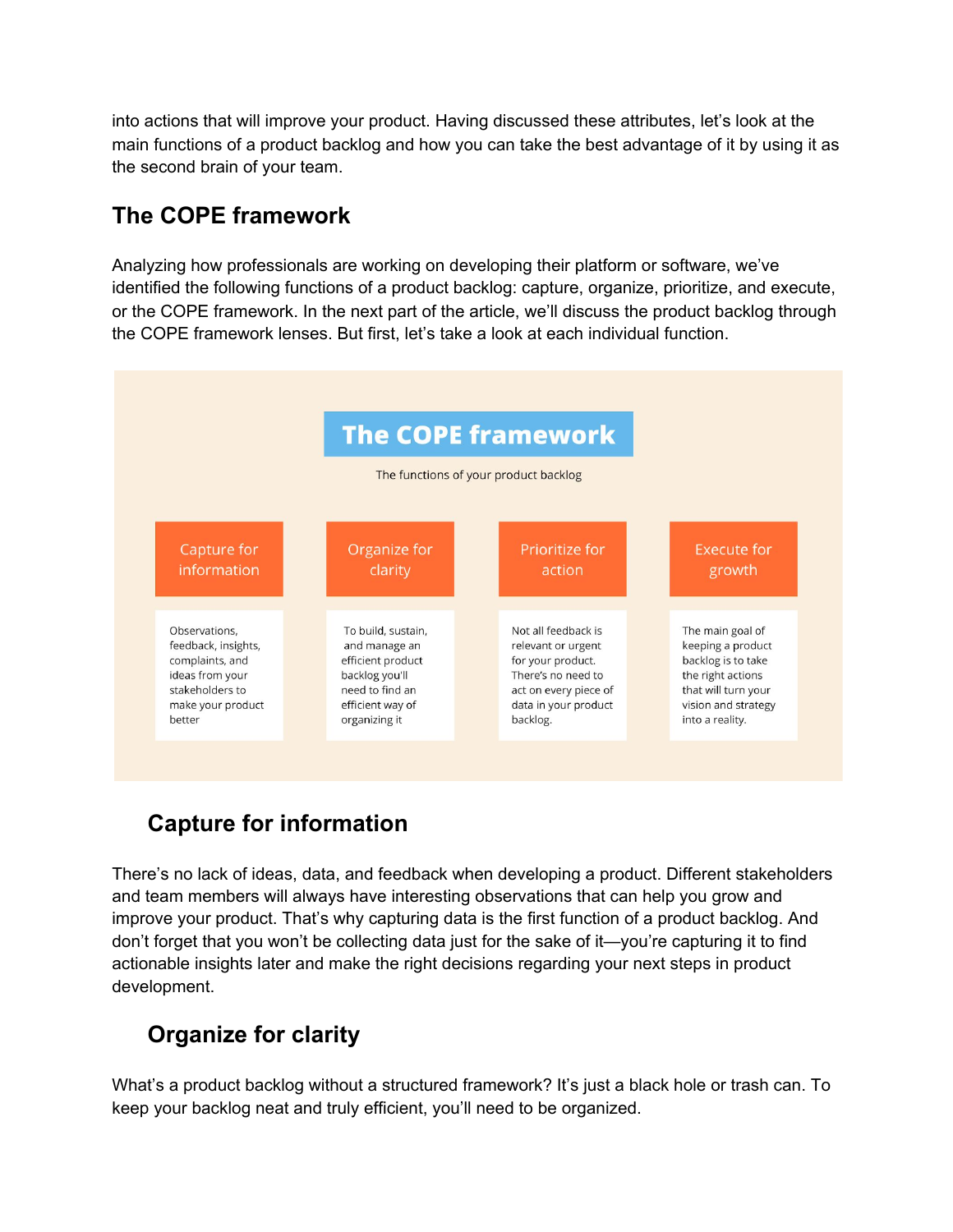into actions that will improve your product. Having discussed these attributes, let's look at the main functions of a product backlog and how you can take the best advantage of it by using it as the second brain of your team.

# **The COPE framework**

Analyzing how professionals are working on developing their platform or software, we've identified the following functions of a product backlog: capture, organize, prioritize, and execute, or the COPE framework. In the next part of the article, we'll discuss the product backlog through the COPE framework lenses. But first, let's take a look at each individual function.



# ✅ **Capture for information**

There's no lack of ideas, data, and feedback when developing a product. Different stakeholders and team members will always have interesting observations that can help you grow and improve your product. That's why capturing data is the first function of a product backlog. And don't forget that you won't be collecting data just for the sake of it—you're capturing it to find actionable insights later and make the right decisions regarding your next steps in product development.

# ✅ **Organize for clarity**

What's a product backlog without a structured framework? It's just a black hole or trash can. To keep your backlog neat and truly efficient, you'll need to be organized.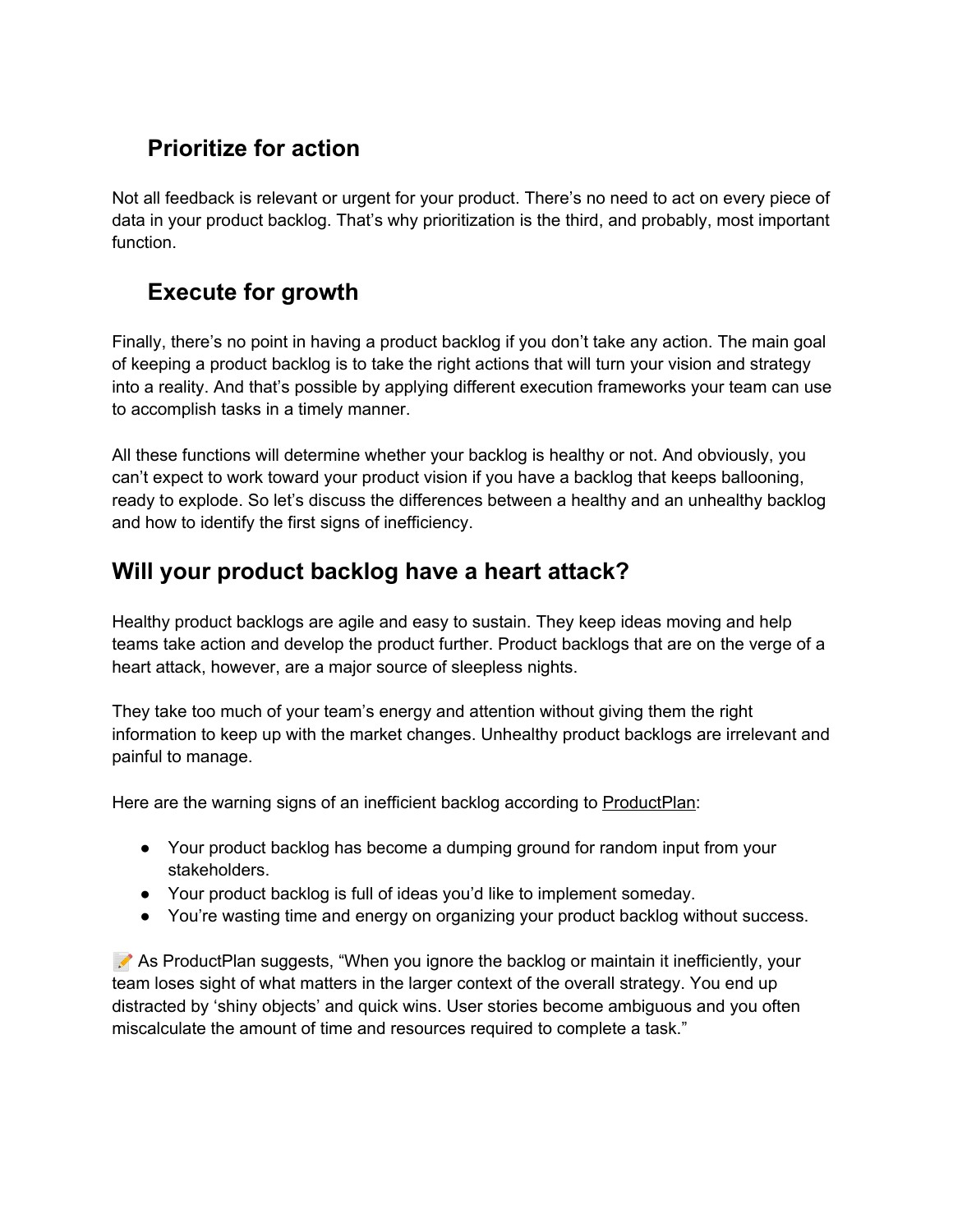# ✅ **Prioritize for action**

Not all feedback is relevant or urgent for your product. There's no need to act on every piece of data in your product backlog. That's why prioritization is the third, and probably, most important function.

# ✅ **Execute for growth**

Finally, there's no point in having a product backlog if you don't take any action. The main goal of keeping a product backlog is to take the right actions that will turn your vision and strategy into a reality. And that's possible by applying different execution frameworks your team can use to accomplish tasks in a timely manner.

All these functions will determine whether your backlog is healthy or not. And obviously, you can't expect to work toward your product vision if you have a backlog that keeps ballooning, ready to explode. So let's discuss the differences between a healthy and an unhealthy backlog and how to identify the first signs of inefficiency.

#### **Will your product backlog have a heart attack?**

Healthy product backlogs are agile and easy to sustain. They keep ideas moving and help teams take action and develop the product further. Product backlogs that are on the verge of a heart attack, however, are a major source of sleepless nights.

They take too much of your team's energy and attention without giving them the right information to keep up with the market changes. Unhealthy product backlogs are irrelevant and painful to manage.

Here are the warning signs of an inefficient backlog according to **[ProductPlan](https://assets.productplan.com/content/Backlog-Refinement-How-to-Prioritize-What-Matters-by-ProductPlan.pdf?utm_campaign=Leads%20%7C%20Asset%20%7C%20Backlog%20Refinement:%20How%20to%20Prioritize%20What%20Matters&utm_medium=email&_hsmi=85148412&_hsenc=p2ANqtz-_xz1XVRgYw27vHjZlVk6EJuc6q9TJrd05s1DJPMmBk0bZ16HZpCwnlKckOHK0WkuyrxOYs4Wl_sWM3RMFLBgOGArdQbA&utm_content=85148412&utm_source=hs_automation)**:

- Your product backlog has become a dumping ground for random input from your stakeholders.
- Your product backlog is full of ideas you'd like to implement someday.
- You're wasting time and energy on organizing your product backlog without success.

As ProductPlan suggests, "When you ignore the backlog or maintain it inefficiently, your team loses sight of what matters in the larger context of the overall strategy. You end up distracted by 'shiny objects' and quick wins. User stories become ambiguous and you often miscalculate the amount of time and resources required to complete a task."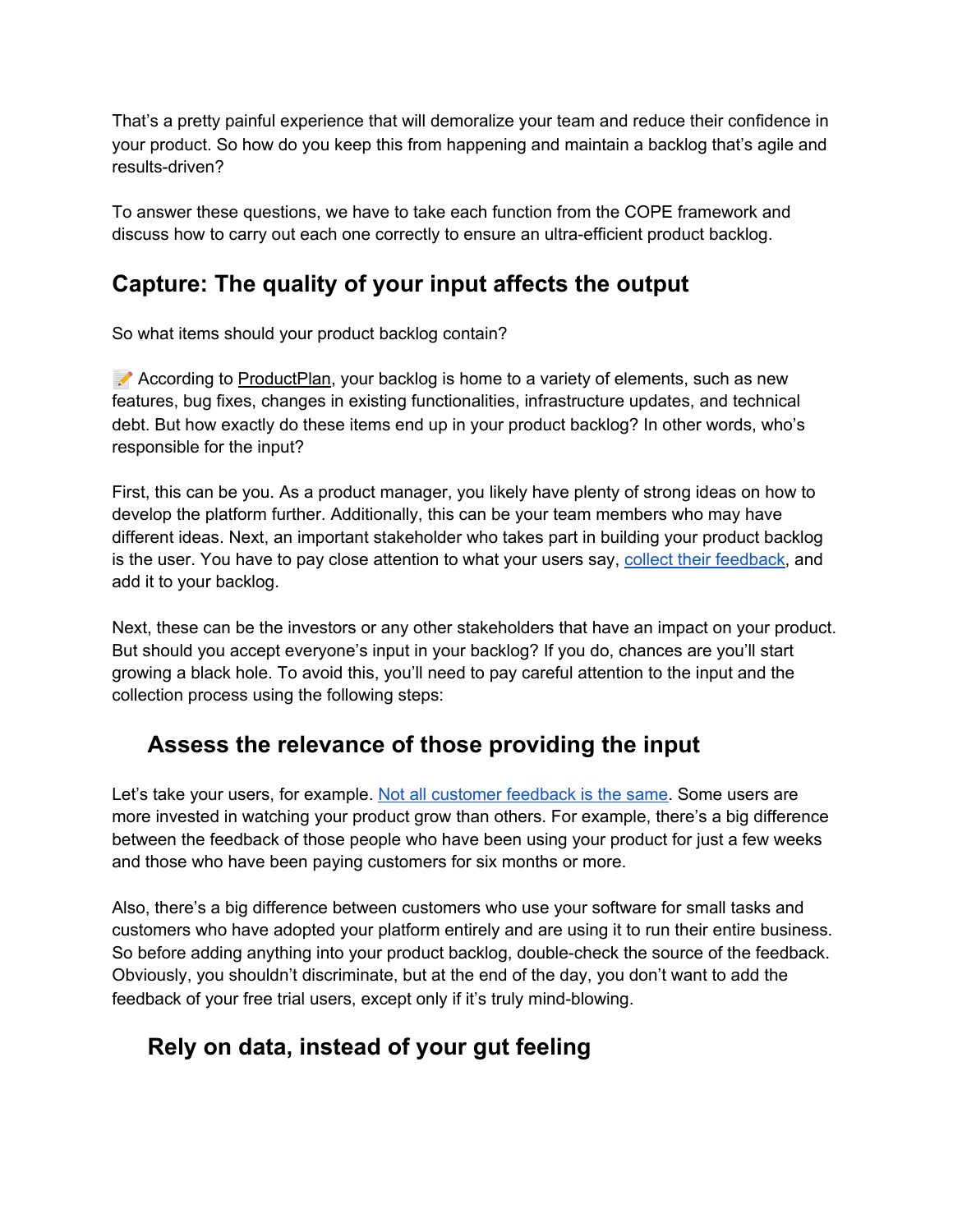That's a pretty painful experience that will demoralize your team and reduce their confidence in your product. So how do you keep this from happening and maintain a backlog that's agile and results-driven?

To answer these questions, we have to take each function from the COPE framework and discuss how to carry out each one correctly to ensure an ultra-efficient product backlog.

### **Capture: The quality of your input affects the output**

So what items should your product backlog contain?

According to [ProductPlan,](https://www.productplan.com/glossary/product-backlog/) your backlog is home to a variety of elements, such as new features, bug fixes, changes in existing functionalities, infrastructure updates, and technical debt. But how exactly do these items end up in your product backlog? In other words, who's responsible for the input?

First, this can be you. As a product manager, you likely have plenty of strong ideas on how to develop the platform further. Additionally, this can be your team members who may have different ideas. Next, an important stakeholder who takes part in building your product backlog is the user. You have to pay close attention to what your users say, collect their [feedback,](https://www.upvoty.com/) and add it to your backlog.

Next, these can be the investors or any other stakeholders that have an impact on your product. But should you accept everyone's input in your backlog? If you do, chances are you'll start growing a black hole. To avoid this, you'll need to pay careful attention to the input and the collection process using the following steps:

#### *f* **Assess the relevance of those providing the input**

Let's take your users, for example. Not all [customer](https://www.upvoty.com/how-to-classify-your-users-when-collecting-customer-feedback/) feedback is the same. Some users are more invested in watching your product grow than others. For example, there's a big difference between the feedback of those people who have been using your product for just a few weeks and those who have been paying customers for six months or more.

Also, there's a big difference between customers who use your software for small tasks and customers who have adopted your platform entirely and are using it to run their entire business. So before adding anything into your product backlog, double-check the source of the feedback. Obviously, you shouldn't discriminate, but at the end of the day, you don't want to add the feedback of your free trial users, except only if it's truly mind-blowing.

# *<b>F* Rely on data, instead of your gut feeling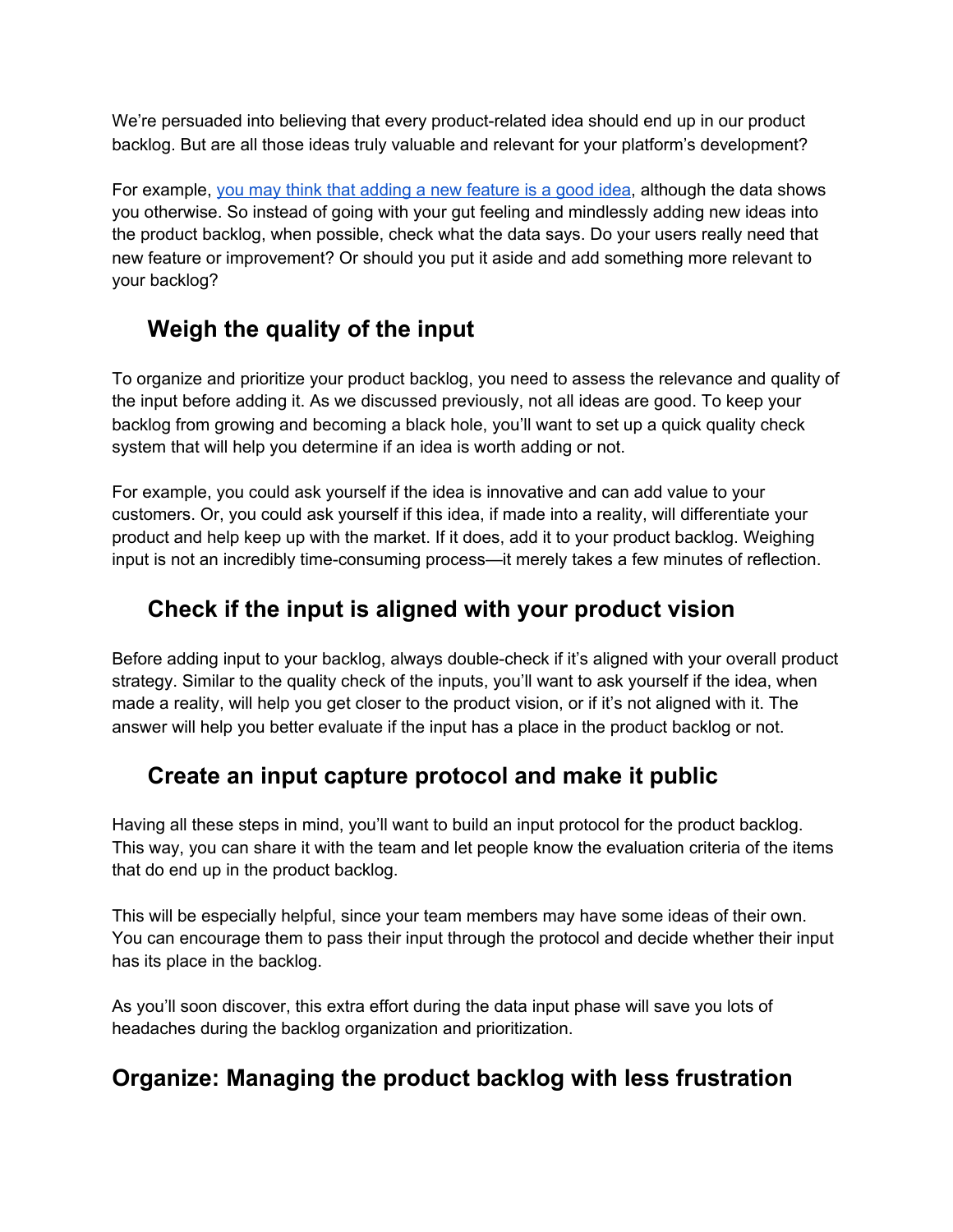We're persuaded into believing that every product-related idea should end up in our product backlog. But are all those ideas truly valuable and relevant for your platform's development?

For example, you may think that adding a new [feature](https://www.upvoty.com/how-to-avoid-building-features-that-nobody-will-use/) is a good idea, although the data shows you otherwise. So instead of going with your gut feeling and mindlessly adding new ideas into the product backlog, when possible, check what the data says. Do your users really need that new feature or improvement? Or should you put it aside and add something more relevant to your backlog?

# *f* Weigh the quality of the input

To organize and prioritize your product backlog, you need to assess the relevance and quality of the input before adding it. As we discussed previously, not all ideas are good. To keep your backlog from growing and becoming a black hole, you'll want to set up a quick quality check system that will help you determine if an idea is worth adding or not.

For example, you could ask yourself if the idea is innovative and can add value to your customers. Or, you could ask yourself if this idea, if made into a reality, will differentiate your product and help keep up with the market. If it does, add it to your product backlog. Weighing input is not an incredibly time-consuming process—it merely takes a few minutes of reflection.

### *C* Check if the input is aligned with your product vision

Before adding input to your backlog, always double-check if it's aligned with your overall product strategy. Similar to the quality check of the inputs, you'll want to ask yourself if the idea, when made a reality, will help you get closer to the product vision, or if it's not aligned with it. The answer will help you better evaluate if the input has a place in the product backlog or not.

#### *C* Create an input capture protocol and make it public

Having all these steps in mind, you'll want to build an input protocol for the product backlog. This way, you can share it with the team and let people know the evaluation criteria of the items that do end up in the product backlog.

This will be especially helpful, since your team members may have some ideas of their own. You can encourage them to pass their input through the protocol and decide whether their input has its place in the backlog.

As you'll soon discover, this extra effort during the data input phase will save you lots of headaches during the backlog organization and prioritization.

#### **Organize: Managing the product backlog with less frustration**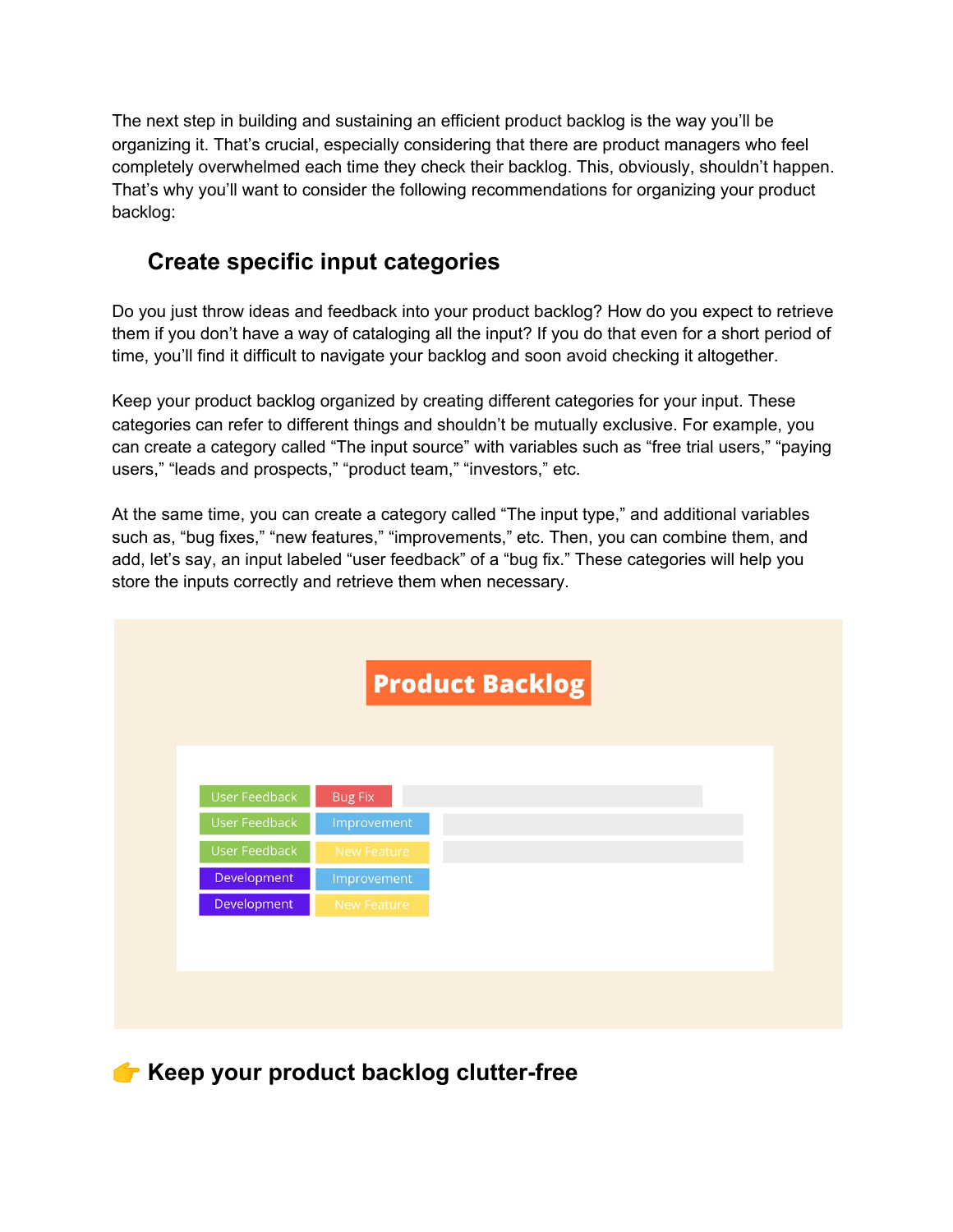The next step in building and sustaining an efficient product backlog is the way you'll be organizing it. That's crucial, especially considering that there are product managers who feel completely overwhelmed each time they check their backlog. This, obviously, shouldn't happen. That's why you'll want to consider the following recommendations for organizing your product backlog:

#### *<del>C***</del>** Create specific input categories

Do you just throw ideas and feedback into your product backlog? How do you expect to retrieve them if you don't have a way of cataloging all the input? If you do that even for a short period of time, you'll find it difficult to navigate your backlog and soon avoid checking it altogether.

Keep your product backlog organized by creating different categories for your input. These categories can refer to different things and shouldn't be mutually exclusive. For example, you can create a category called "The input source" with variables such as "free trial users," "paying users," "leads and prospects," "product team," "investors," etc.

At the same time, you can create a category called "The input type," and additional variables such as, "bug fixes," "new features," "improvements," etc. Then, you can combine them, and add, let's say, an input labeled "user feedback" of a "bug fix." These categories will help you store the inputs correctly and retrieve them when necessary.



**Keep your product backlog clutter-free**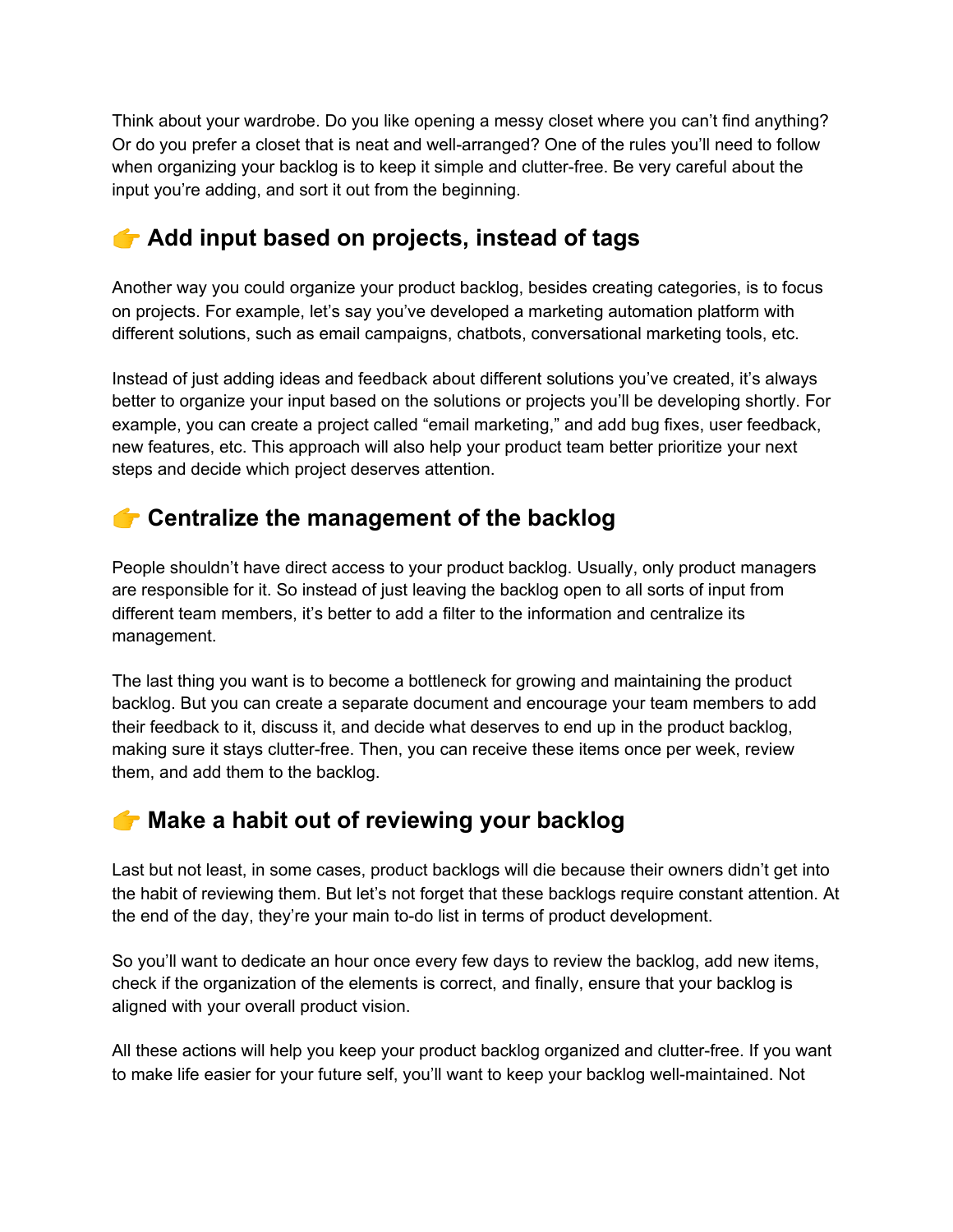Think about your wardrobe. Do you like opening a messy closet where you can't find anything? Or do you prefer a closet that is neat and well-arranged? One of the rules you'll need to follow when organizing your backlog is to keep it simple and clutter-free. Be very careful about the input you're adding, and sort it out from the beginning.

### **Add input based on projects, instead of tags**

Another way you could organize your product backlog, besides creating categories, is to focus on projects. For example, let's say you've developed a marketing automation platform with different solutions, such as email campaigns, chatbots, conversational marketing tools, etc.

Instead of just adding ideas and feedback about different solutions you've created, it's always better to organize your input based on the solutions or projects you'll be developing shortly. For example, you can create a project called "email marketing," and add bug fixes, user feedback, new features, etc. This approach will also help your product team better prioritize your next steps and decide which project deserves attention.

#### **Centralize the management of the backlog**

People shouldn't have direct access to your product backlog. Usually, only product managers are responsible for it. So instead of just leaving the backlog open to all sorts of input from different team members, it's better to add a filter to the information and centralize its management.

The last thing you want is to become a bottleneck for growing and maintaining the product backlog. But you can create a separate document and encourage your team members to add their feedback to it, discuss it, and decide what deserves to end up in the product backlog, making sure it stays clutter-free. Then, you can receive these items once per week, review them, and add them to the backlog.

# **Make a habit out of reviewing your backlog**

Last but not least, in some cases, product backlogs will die because their owners didn't get into the habit of reviewing them. But let's not forget that these backlogs require constant attention. At the end of the day, they're your main to-do list in terms of product development.

So you'll want to dedicate an hour once every few days to review the backlog, add new items, check if the organization of the elements is correct, and finally, ensure that your backlog is aligned with your overall product vision.

All these actions will help you keep your product backlog organized and clutter-free. If you want to make life easier for your future self, you'll want to keep your backlog well-maintained. Not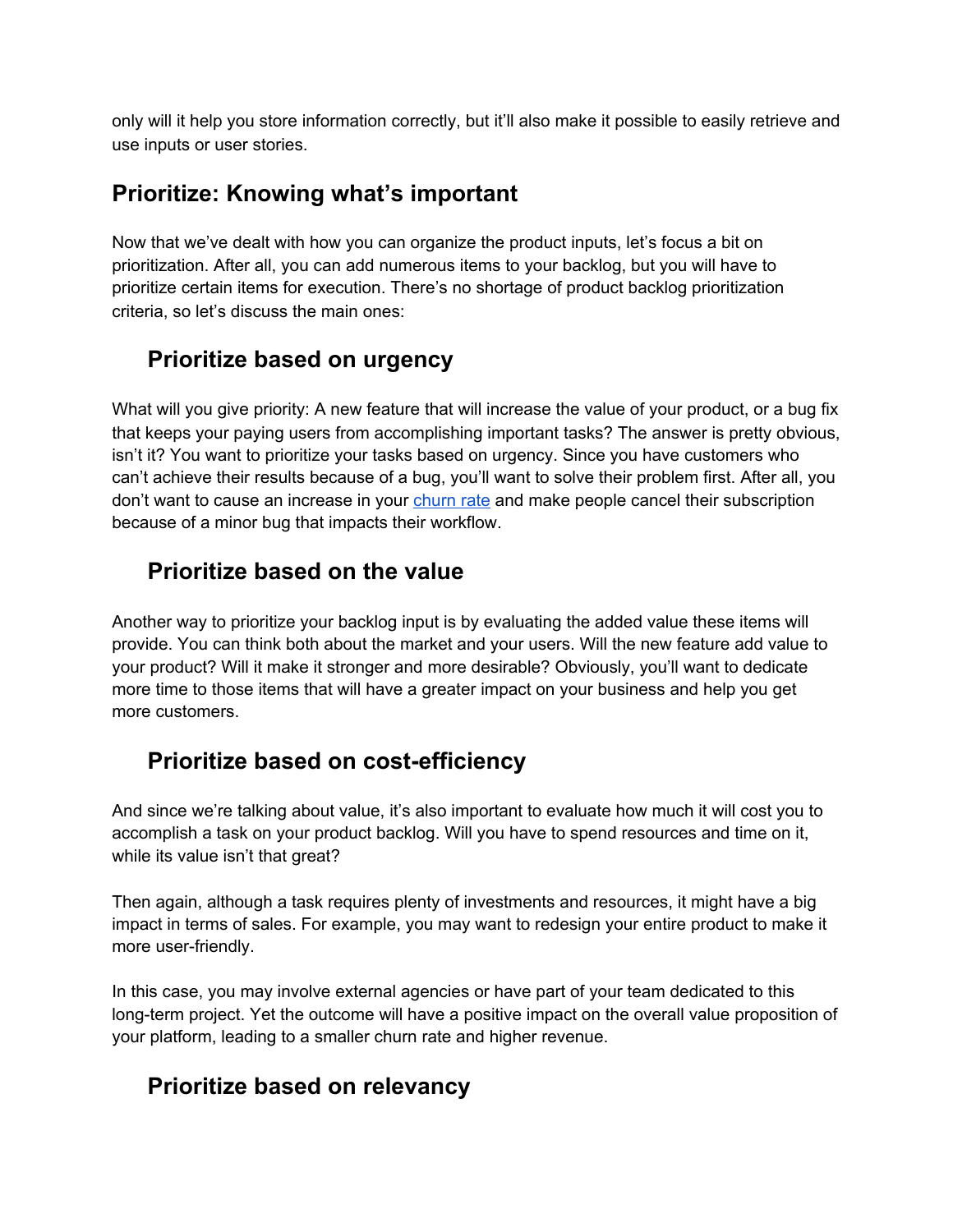only will it help you store information correctly, but it'll also make it possible to easily retrieve and use inputs or user stories.

#### **Prioritize: Knowing what's important**

Now that we've dealt with how you can organize the product inputs, let's focus a bit on prioritization. After all, you can add numerous items to your backlog, but you will have to prioritize certain items for execution. There's no shortage of product backlog prioritization criteria, so let's discuss the main ones:

#### *<del>f</del>* Prioritize based on urgency

What will you give priority: A new feature that will increase the value of your product, or a bug fix that keeps your paying users from accomplishing important tasks? The answer is pretty obvious, isn't it? You want to prioritize your tasks based on urgency. Since you have customers who can't achieve their results because of a bug, you'll want to solve their problem first. After all, you don't want to cause an increase in your [churn](https://www.upvoty.com/bulletproof-steps-to-reduce-your-churn-rate/) rate and make people cancel their subscription because of a minor bug that impacts their workflow.

#### *<b>F* Prioritize based on the value

Another way to prioritize your backlog input is by evaluating the added value these items will provide. You can think both about the market and your users. Will the new feature add value to your product? Will it make it stronger and more desirable? Obviously, you'll want to dedicate more time to those items that will have a greater impact on your business and help you get more customers.

#### *f* Prioritize based on cost-efficiency

And since we're talking about value, it's also important to evaluate how much it will cost you to accomplish a task on your product backlog. Will you have to spend resources and time on it, while its value isn't that great?

Then again, although a task requires plenty of investments and resources, it might have a big impact in terms of sales. For example, you may want to redesign your entire product to make it more user-friendly.

In this case, you may involve external agencies or have part of your team dedicated to this long-term project. Yet the outcome will have a positive impact on the overall value proposition of your platform, leading to a smaller churn rate and higher revenue.

#### *<del>f</del>* Prioritize based on relevancy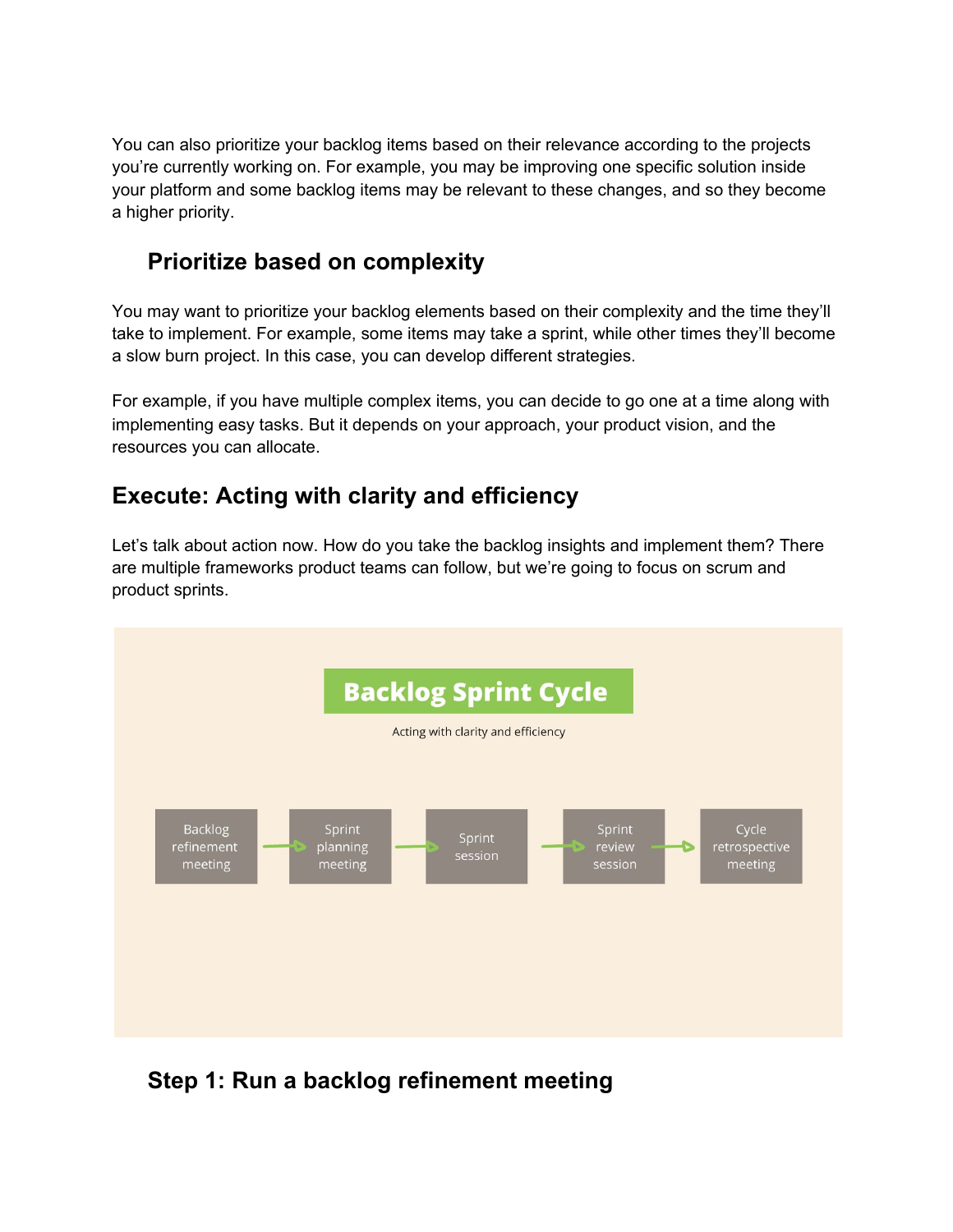You can also prioritize your backlog items based on their relevance according to the projects you're currently working on. For example, you may be improving one specific solution inside your platform and some backlog items may be relevant to these changes, and so they become a higher priority.

#### *<u></u>* **Prioritize based on complexity**

You may want to prioritize your backlog elements based on their complexity and the time they'll take to implement. For example, some items may take a sprint, while other times they'll become a slow burn project. In this case, you can develop different strategies.

For example, if you have multiple complex items, you can decide to go one at a time along with implementing easy tasks. But it depends on your approach, your product vision, and the resources you can allocate.

#### **Execute: Acting with clarity and efficiency**

Let's talk about action now. How do you take the backlog insights and implement them? There are multiple frameworks product teams can follow, but we're going to focus on scrum and product sprints.



#### ✅ **Step 1: Run a backlog refinement meeting**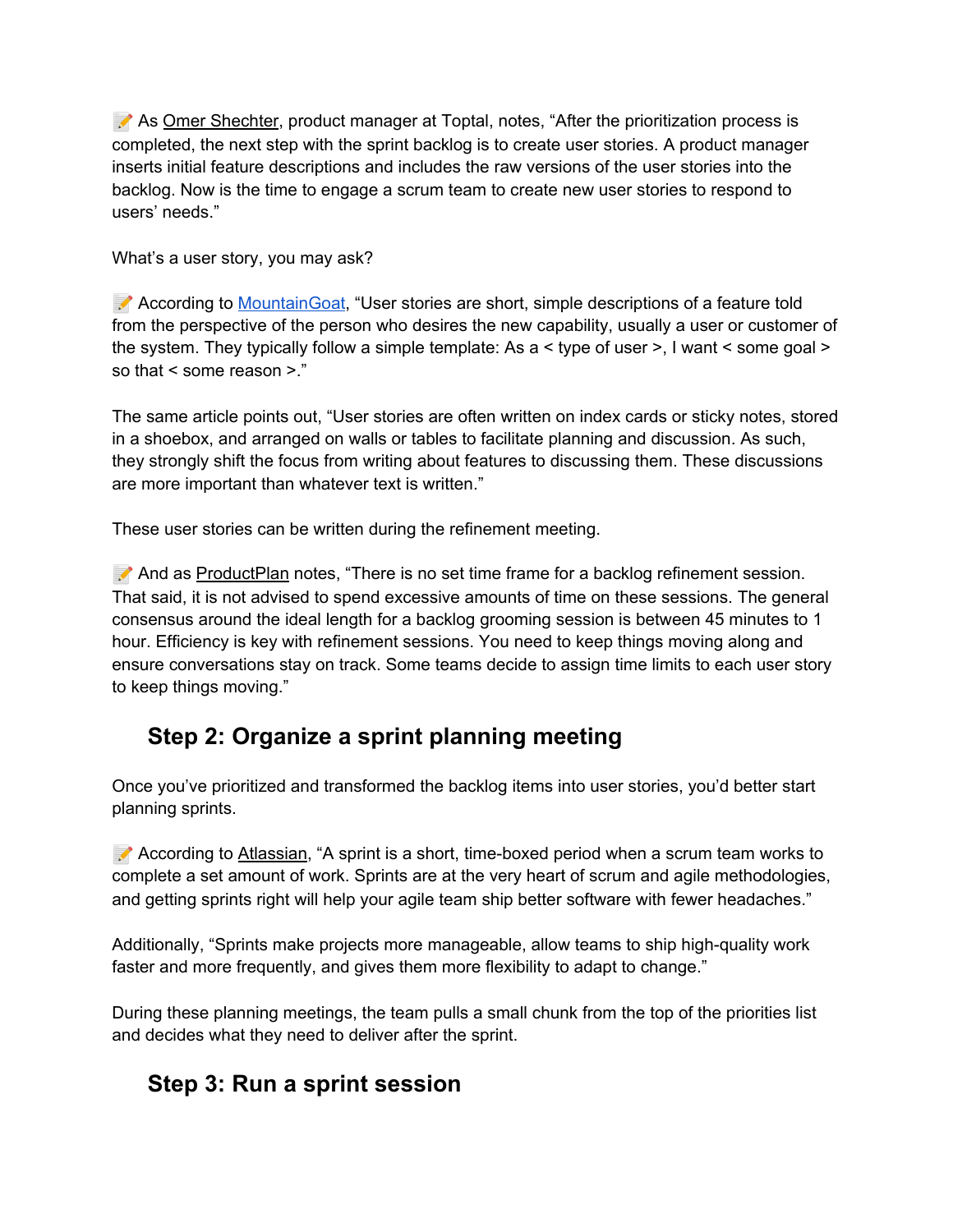As Omer [Shechter](https://www.toptal.com/product-managers/agile/product-backlog-step-by-step-guide), product manager at Toptal, notes, "After the prioritization process is completed, the next step with the sprint backlog is to create user stories. A product manager inserts initial feature descriptions and includes the raw versions of the user stories into the backlog. Now is the time to engage a scrum team to create new user stories to respond to users' needs."

What's a user story, you may ask?

 According to [MountainGoat,](https://www.mountaingoatsoftware.com/agile/user-stories) "User stories are short, simple descriptions of a feature told from the perspective of the person who desires the new capability, usually a user or customer of the system. They typically follow a simple template: As a < type of user >, I want < some goal > so that < some reason >."

The same article points out, "User stories are often written on index cards or sticky notes, stored in a shoebox, and arranged on walls or tables to facilitate planning and discussion. As such, they strongly shift the focus from writing about features to discussing them. These discussions are more important than whatever text is written."

These user stories can be written during the refinement meeting.

And as [ProductPlan](https://assets.productplan.com/content/Backlog-Refinement-How-to-Prioritize-What-Matters-by-ProductPlan.pdf?utm_campaign=Leads%20%7C%20Asset%20%7C%20Backlog%20Refinement:%20How%20to%20Prioritize%20What%20Matters&utm_medium=email&_hsmi=85148412&_hsenc=p2ANqtz-_xz1XVRgYw27vHjZlVk6EJuc6q9TJrd05s1DJPMmBk0bZ16HZpCwnlKckOHK0WkuyrxOYs4Wl_sWM3RMFLBgOGArdQbA&utm_content=85148412&utm_source=hs_automation) notes, "There is no set time frame for a backlog refinement session. That said, it is not advised to spend excessive amounts of time on these sessions. The general consensus around the ideal length for a backlog grooming session is between 45 minutes to 1 hour. Efficiency is key with refinement sessions. You need to keep things moving along and ensure conversations stay on track. Some teams decide to assign time limits to each user story to keep things moving."

# ✅ **Step 2: Organize a sprint planning meeting**

Once you've prioritized and transformed the backlog items into user stories, you'd better start planning sprints.

 According to [Atlassian](https://www.atlassian.com/agile/scrum/sprints), "A sprint is a short, time-boxed period when a scrum team works to complete a set amount of work. Sprints are at the very heart of scrum and agile methodologies, and getting sprints right will help your agile team ship better software with fewer headaches."

Additionally, "Sprints make projects more manageable, allow teams to ship high-quality work faster and more frequently, and gives them more flexibility to adapt to change."

During these planning meetings, the team pulls a small chunk from the top of the priorities list and decides what they need to deliver after the sprint.

#### ✅ **Step 3: Run a sprint session**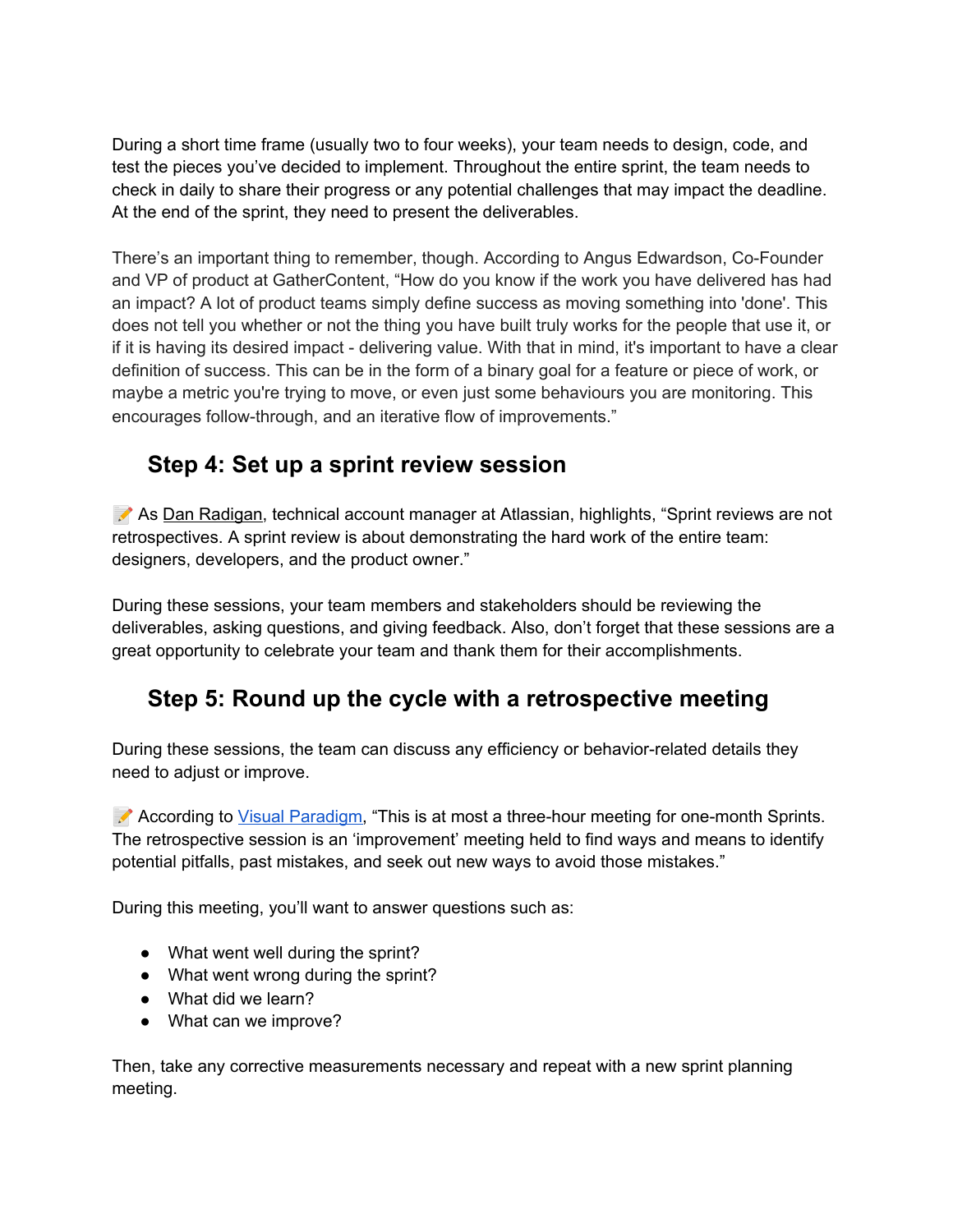During a short time frame (usually two to four weeks), your team needs to design, code, and test the pieces you've decided to implement. Throughout the entire sprint, the team needs to check in daily to share their progress or any potential challenges that may impact the deadline. At the end of the sprint, they need to present the deliverables.

There's an important thing to remember, though. According to Angus Edwardson, Co-Founder and VP of product at GatherContent, "How do you know if the work you have delivered has had an impact? A lot of product teams simply define success as moving something into 'done'. This does not tell you whether or not the thing you have built truly works for the people that use it, or if it is having its desired impact - delivering value. With that in mind, it's important to have a clear definition of success. This can be in the form of a binary goal for a feature or piece of work, or maybe a metric you're trying to move, or even just some behaviours you are monitoring. This encourages follow-through, and an iterative flow of improvements."

#### ✅ **Step 4: Set up a sprint review session**

As Dan [Radigan,](https://www.atlassian.com/agile/scrum/sprint-reviews) technical account manager at Atlassian, highlights, "Sprint reviews are not retrospectives. A sprint review is about demonstrating the hard work of the entire team: designers, developers, and the product owner."

During these sessions, your team members and stakeholders should be reviewing the deliverables, asking questions, and giving feedback. Also, don't forget that these sessions are a great opportunity to celebrate your team and thank them for their accomplishments.

#### ✅ **Step 5: Round up the cycle with a retrospective meeting**

During these sessions, the team can discuss any efficiency or behavior-related details they need to adjust or improve.

According to Visual [Paradigm,](https://www.visual-paradigm.com/scrum/what-is-sprint-retrospective-meeting/) "This is at most a three-hour meeting for one-month Sprints. The retrospective session is an 'improvement' meeting held to find ways and means to identify potential pitfalls, past mistakes, and seek out new ways to avoid those mistakes."

During this meeting, you'll want to answer questions such as:

- What went well during the sprint?
- What went wrong during the sprint?
- What did we learn?
- What can we improve?

Then, take any corrective measurements necessary and repeat with a new sprint planning meeting.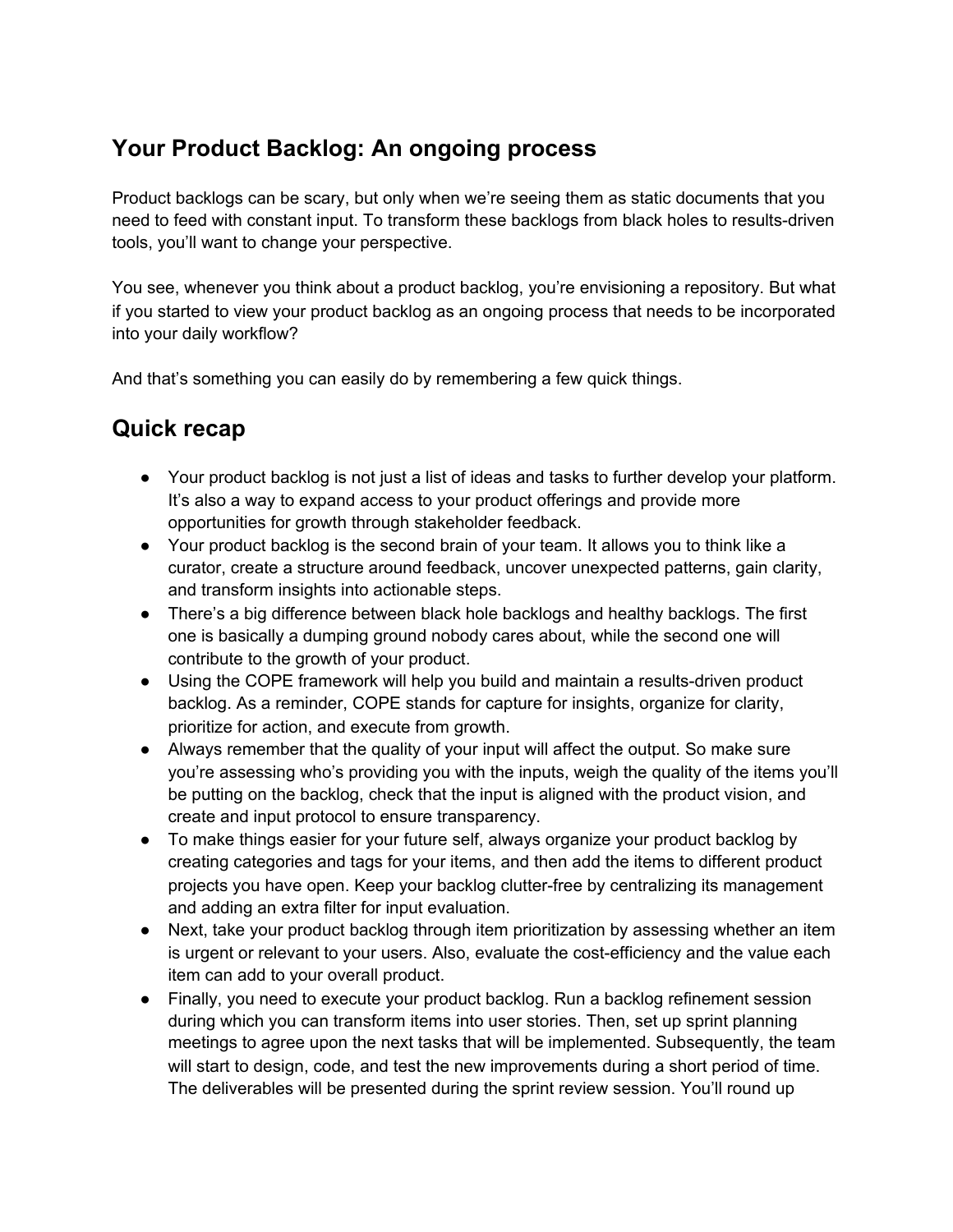### **Your Product Backlog: An ongoing process**

Product backlogs can be scary, but only when we're seeing them as static documents that you need to feed with constant input. To transform these backlogs from black holes to results-driven tools, you'll want to change your perspective.

You see, whenever you think about a product backlog, you're envisioning a repository. But what if you started to view your product backlog as an ongoing process that needs to be incorporated into your daily workflow?

And that's something you can easily do by remembering a few quick things.

#### **Quick recap**

- Your product backlog is not just a list of ideas and tasks to further develop your platform. It's also a way to expand access to your product offerings and provide more opportunities for growth through stakeholder feedback.
- Your product backlog is the second brain of your team. It allows you to think like a curator, create a structure around feedback, uncover unexpected patterns, gain clarity, and transform insights into actionable steps.
- There's a big difference between black hole backlogs and healthy backlogs. The first one is basically a dumping ground nobody cares about, while the second one will contribute to the growth of your product.
- Using the COPE framework will help you build and maintain a results-driven product backlog. As a reminder, COPE stands for capture for insights, organize for clarity, prioritize for action, and execute from growth.
- Always remember that the quality of your input will affect the output. So make sure you're assessing who's providing you with the inputs, weigh the quality of the items you'll be putting on the backlog, check that the input is aligned with the product vision, and create and input protocol to ensure transparency.
- To make things easier for your future self, always organize your product backlog by creating categories and tags for your items, and then add the items to different product projects you have open. Keep your backlog clutter-free by centralizing its management and adding an extra filter for input evaluation.
- Next, take your product backlog through item prioritization by assessing whether an item is urgent or relevant to your users. Also, evaluate the cost-efficiency and the value each item can add to your overall product.
- Finally, you need to execute your product backlog. Run a backlog refinement session during which you can transform items into user stories. Then, set up sprint planning meetings to agree upon the next tasks that will be implemented. Subsequently, the team will start to design, code, and test the new improvements during a short period of time. The deliverables will be presented during the sprint review session. You'll round up